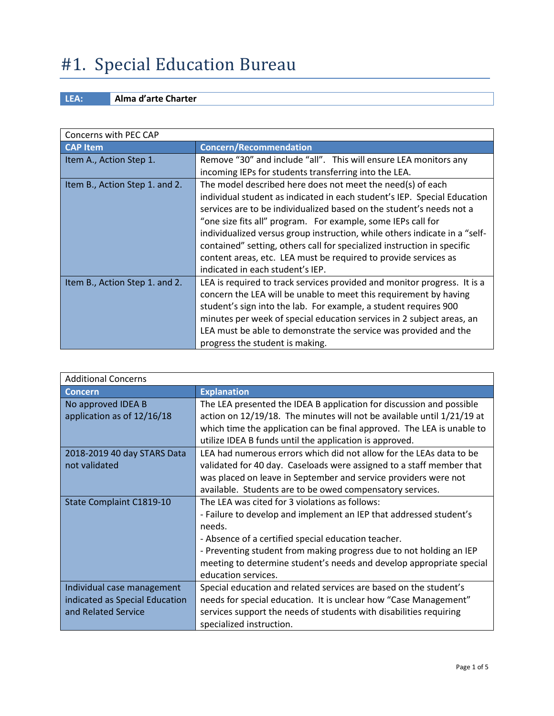# #1. Special Education Bureau

### **LEA: Alma d'arte Charter**

| Concerns with PEC CAP          |                                                                            |
|--------------------------------|----------------------------------------------------------------------------|
| <b>CAP Item</b>                | <b>Concern/Recommendation</b>                                              |
| Item A., Action Step 1.        | Remove "30" and include "all". This will ensure LEA monitors any           |
|                                | incoming IEPs for students transferring into the LEA.                      |
| Item B., Action Step 1. and 2. | The model described here does not meet the need(s) of each                 |
|                                | individual student as indicated in each student's IEP. Special Education   |
|                                | services are to be individualized based on the student's needs not a       |
|                                | "one size fits all" program. For example, some IEPs call for               |
|                                | individualized versus group instruction, while others indicate in a "self- |
|                                | contained" setting, others call for specialized instruction in specific    |
|                                | content areas, etc. LEA must be required to provide services as            |
|                                | indicated in each student's IEP.                                           |
| Item B., Action Step 1. and 2. | LEA is required to track services provided and monitor progress. It is a   |
|                                | concern the LEA will be unable to meet this requirement by having          |
|                                | student's sign into the lab. For example, a student requires 900           |
|                                | minutes per week of special education services in 2 subject areas, an      |
|                                | LEA must be able to demonstrate the service was provided and the           |
|                                | progress the student is making.                                            |

| <b>Additional Concerns</b>     |                                                                                                                                                  |
|--------------------------------|--------------------------------------------------------------------------------------------------------------------------------------------------|
| <b>Concern</b>                 | <b>Explanation</b>                                                                                                                               |
| No approved IDEA B             | The LEA presented the IDEA B application for discussion and possible                                                                             |
| application as of 12/16/18     | action on 12/19/18. The minutes will not be available until 1/21/19 at<br>which time the application can be final approved. The LEA is unable to |
|                                | utilize IDEA B funds until the application is approved.                                                                                          |
| 2018-2019 40 day STARS Data    | LEA had numerous errors which did not allow for the LEAs data to be                                                                              |
| not validated                  | validated for 40 day. Caseloads were assigned to a staff member that                                                                             |
|                                | was placed on leave in September and service providers were not                                                                                  |
|                                | available. Students are to be owed compensatory services.                                                                                        |
| State Complaint C1819-10       | The LEA was cited for 3 violations as follows:                                                                                                   |
|                                | - Failure to develop and implement an IEP that addressed student's                                                                               |
|                                | needs.                                                                                                                                           |
|                                | - Absence of a certified special education teacher.                                                                                              |
|                                | - Preventing student from making progress due to not holding an IEP                                                                              |
|                                | meeting to determine student's needs and develop appropriate special                                                                             |
|                                | education services.                                                                                                                              |
| Individual case management     | Special education and related services are based on the student's                                                                                |
| indicated as Special Education | needs for special education. It is unclear how "Case Management"                                                                                 |
| and Related Service            | services support the needs of students with disabilities requiring                                                                               |
|                                | specialized instruction.                                                                                                                         |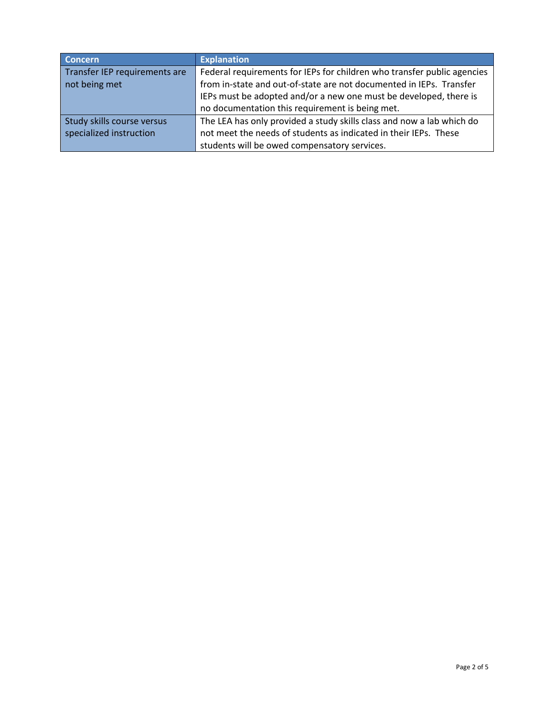| <b>Concern</b>                | <b>Explanation</b>                                                      |
|-------------------------------|-------------------------------------------------------------------------|
| Transfer IEP requirements are | Federal requirements for IEPs for children who transfer public agencies |
| not being met                 | from in-state and out-of-state are not documented in IEPs. Transfer     |
|                               | IEPs must be adopted and/or a new one must be developed, there is       |
|                               | no documentation this requirement is being met.                         |
| Study skills course versus    | The LEA has only provided a study skills class and now a lab which do   |
| specialized instruction       | not meet the needs of students as indicated in their IEPs. These        |
|                               | students will be owed compensatory services.                            |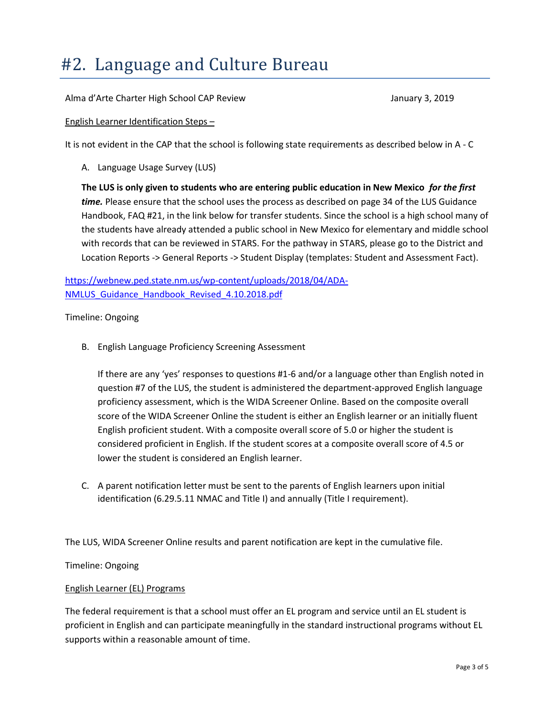### #2. Language and Culture Bureau

Alma d'Arte Charter High School CAP Review January 3, 2019

English Learner Identification Steps –

It is not evident in the CAP that the school is following state requirements as described below in A - C

A. Language Usage Survey (LUS)

**The LUS is only given to students who are entering public education in New Mexico** *for the first time.* Please ensure that the school uses the process as described on page 34 of the LUS Guidance Handbook, FAQ #21, in the link below for transfer students. Since the school is a high school many of the students have already attended a public school in New Mexico for elementary and middle school with records that can be reviewed in STARS. For the pathway in STARS, please go to the District and Location Reports -> General Reports -> Student Display (templates: Student and Assessment Fact).

[https://webnew.ped.state.nm.us/wp-content/uploads/2018/04/ADA-](https://webnew.ped.state.nm.us/wp-content/uploads/2018/04/ADA-NMLUS_Guidance_Handbook_Revised_4.10.2018.pdf)[NMLUS\\_Guidance\\_Handbook\\_Revised\\_4.10.2018.pdf](https://webnew.ped.state.nm.us/wp-content/uploads/2018/04/ADA-NMLUS_Guidance_Handbook_Revised_4.10.2018.pdf)

Timeline: Ongoing

B. English Language Proficiency Screening Assessment

If there are any 'yes' responses to questions #1-6 and/or a language other than English noted in question #7 of the LUS, the student is administered the department-approved English language proficiency assessment, which is the WIDA Screener Online. Based on the composite overall score of the WIDA Screener Online the student is either an English learner or an initially fluent English proficient student. With a composite overall score of 5.0 or higher the student is considered proficient in English. If the student scores at a composite overall score of 4.5 or lower the student is considered an English learner.

C. A parent notification letter must be sent to the parents of English learners upon initial identification (6.29.5.11 NMAC and Title I) and annually (Title I requirement).

The LUS, WIDA Screener Online results and parent notification are kept in the cumulative file.

Timeline: Ongoing

#### English Learner (EL) Programs

The federal requirement is that a school must offer an EL program and service until an EL student is proficient in English and can participate meaningfully in the standard instructional programs without EL supports within a reasonable amount of time.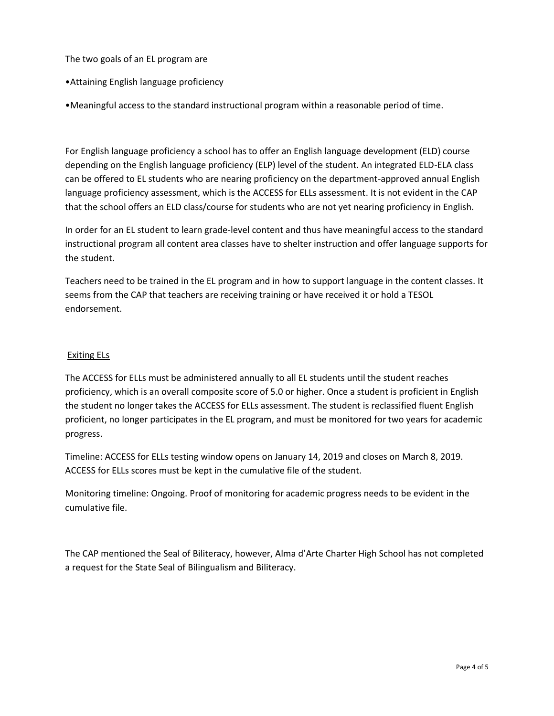The two goals of an EL program are

- •Attaining English language proficiency
- •Meaningful access to the standard instructional program within a reasonable period of time.

For English language proficiency a school has to offer an English language development (ELD) course depending on the English language proficiency (ELP) level of the student. An integrated ELD-ELA class can be offered to EL students who are nearing proficiency on the department-approved annual English language proficiency assessment, which is the ACCESS for ELLs assessment. It is not evident in the CAP that the school offers an ELD class/course for students who are not yet nearing proficiency in English.

In order for an EL student to learn grade-level content and thus have meaningful access to the standard instructional program all content area classes have to shelter instruction and offer language supports for the student.

Teachers need to be trained in the EL program and in how to support language in the content classes. It seems from the CAP that teachers are receiving training or have received it or hold a TESOL endorsement.

#### Exiting ELs

The ACCESS for ELLs must be administered annually to all EL students until the student reaches proficiency, which is an overall composite score of 5.0 or higher. Once a student is proficient in English the student no longer takes the ACCESS for ELLs assessment. The student is reclassified fluent English proficient, no longer participates in the EL program, and must be monitored for two years for academic progress.

Timeline: ACCESS for ELLs testing window opens on January 14, 2019 and closes on March 8, 2019. ACCESS for ELLs scores must be kept in the cumulative file of the student.

Monitoring timeline: Ongoing. Proof of monitoring for academic progress needs to be evident in the cumulative file.

The CAP mentioned the Seal of Biliteracy, however, Alma d'Arte Charter High School has not completed a request for the State Seal of Bilingualism and Biliteracy.